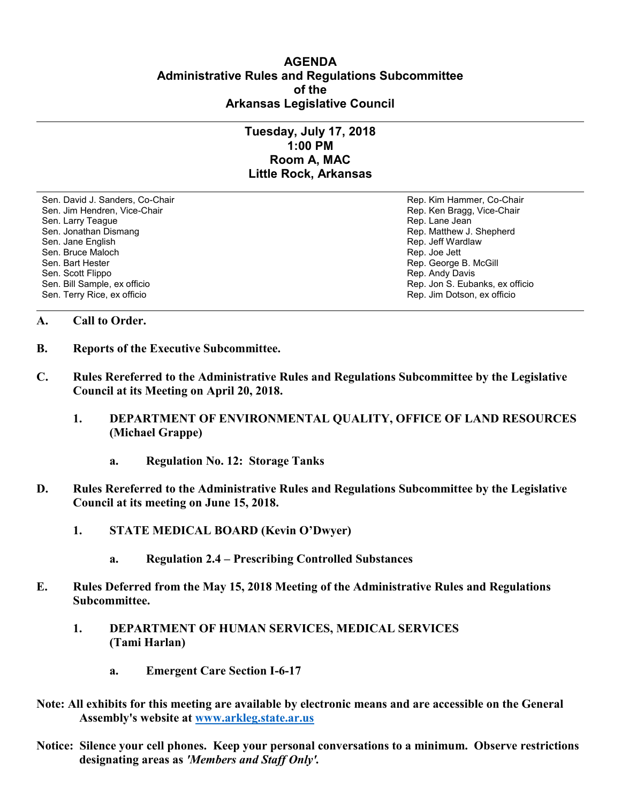## **AGENDA Administrative Rules and Regulations Subcommittee of the Arkansas Legislative Council**

## **Tuesday, July 17, 2018 1:00 PM Room A, MAC Little Rock, Arkansas**

Sen. David J. Sanders, Co-Chair Rep. Kim Hammer, Co-Chair Sen. Jim Hendren, Vice-Chair Rep. Ken Bragg, Vice-Chair Rep. Ken Bragg, Vice-Chair Sen. Larry Teague **Rep. Lane Jean**<br>Sen. Jonathan Dismang **Rep. 2009**<br>Rep. Matthew J. Sen. Jane English Rep. Jeff Wardlaw Rep. Jeff Wardlaw Rep. Jeff Wardlaw Sen. Bruce Maloch **Rep. 1998** Sen. Bruce Maloch Rep. Joe Jett Sen. Bruce Maloch Rep. Joe Jett Sen. Bart Hester Communication Communication Communication Rep. Joe Jett Sen. Bender Sen. Bender Sen. Bender Sen. Bender Sen. Be Sen. Bart Hester Sen. Bart Hester Sen. Bart Hester Sen. Bart Hester Sen. Bart Hester Sen. Behalt Behalt Behalt<br>Sen. Scott Flippo Sen. Scott Flippo **Rep. Andy Davis**<br>
Sen. Bill Sample, ex officio **Rep. 2006** Contract a sense of Rep. Jon S. Euba Sen. Terry Rice, ex officio Rep. Jim Dotson, ex officio

Rep. Matthew J. Shepherd Rep. Jon S. Eubanks, ex officio

## **A. Call to Order.**

- **B. Reports of the Executive Subcommittee.**
- **C. Rules Rereferred to the Administrative Rules and Regulations Subcommittee by the Legislative Council at its Meeting on April 20, 2018.**
	- **1. DEPARTMENT OF ENVIRONMENTAL QUALITY, OFFICE OF LAND RESOURCES (Michael Grappe)**
		- **a. Regulation No. 12: Storage Tanks**
- **D. Rules Rereferred to the Administrative Rules and Regulations Subcommittee by the Legislative Council at its meeting on June 15, 2018.**
	- **1. STATE MEDICAL BOARD (Kevin O'Dwyer)**
		- **a. Regulation 2.4 – Prescribing Controlled Substances**
- **E. Rules Deferred from the May 15, 2018 Meeting of the Administrative Rules and Regulations Subcommittee.**
	- **1. DEPARTMENT OF HUMAN SERVICES, MEDICAL SERVICES (Tami Harlan)**
		- **a. Emergent Care Section I-6-17**
- **Note: All exhibits for this meeting are available by electronic means and are accessible on the General Assembly's website at [www.arkleg.state.ar.us](http://www.arkleg.state.ar.us)**
- **Notice: Silence your cell phones. Keep your personal conversations to a minimum. Observe restrictions designating areas as** *'Members and Staff Only'.*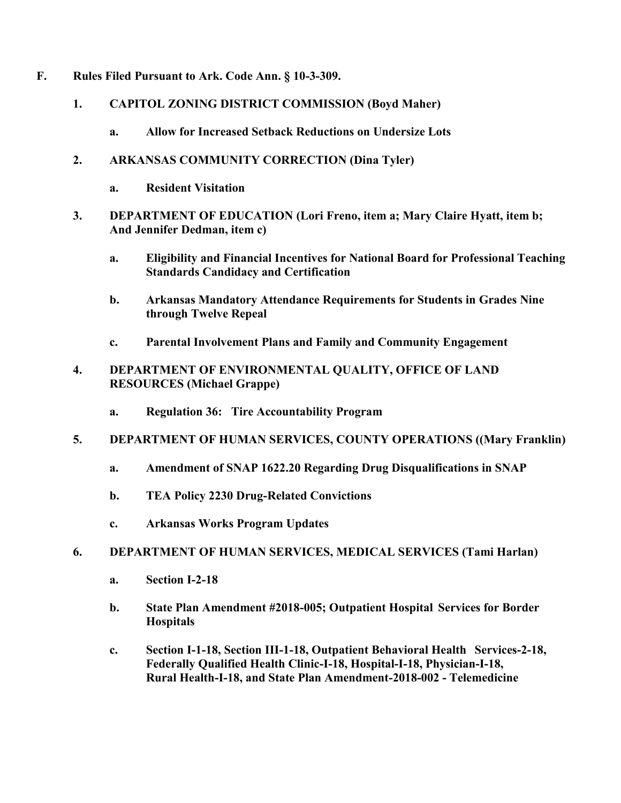- **F. Rules Filed Pursuant to Ark. Code Ann. § 10-3-309.**
	- **1. CAPITOL ZONING DISTRICT COMMISSION (Boyd Maher)**
		- **a. Allow for Increased Setback Reductions on Undersize Lots**
	- **2. ARKANSAS COMMUNITY CORRECTION (Dina Tyler)**
		- **a. Resident Visitation**
	- **3. DEPARTMENT OF EDUCATION (Lori Freno, item a; Mary Claire Hyatt, item b; And Jennifer Dedman, item c)**
		- **a. Eligibility and Financial Incentives for National Board for Professional Teaching Standards Candidacy and Certification**
		- **b. Arkansas Mandatory Attendance Requirements for Students in Grades Nine through Twelve Repeal**
		- **c. Parental Involvement Plans and Family and Community Engagement**
	- **4. DEPARTMENT OF ENVIRONMENTAL QUALITY, OFFICE OF LAND RESOURCES (Michael Grappe)**
		- **a. Regulation 36: Tire Accountability Program**
	- **5. DEPARTMENT OF HUMAN SERVICES, COUNTY OPERATIONS ((Mary Franklin)**
		- **a. Amendment of SNAP 1622.20 Regarding Drug Disqualifications in SNAP**
		- **b. TEA Policy 2230 Drug-Related Convictions**
		- **c. Arkansas Works Program Updates**
	- **6. DEPARTMENT OF HUMAN SERVICES, MEDICAL SERVICES (Tami Harlan)**
		- **a. Section I-2-18**
		- **b. State Plan Amendment #2018-005; Outpatient Hospital Services for Border Hospitals**
		- **c. Section I-1-18, Section III-1-18, Outpatient Behavioral Health Services-2-18, Federally Qualified Health Clinic-I-18, Hospital-I-18, Physician-I-18, Rural Health-I-18, and State Plan Amendment-2018-002 - Telemedicine**